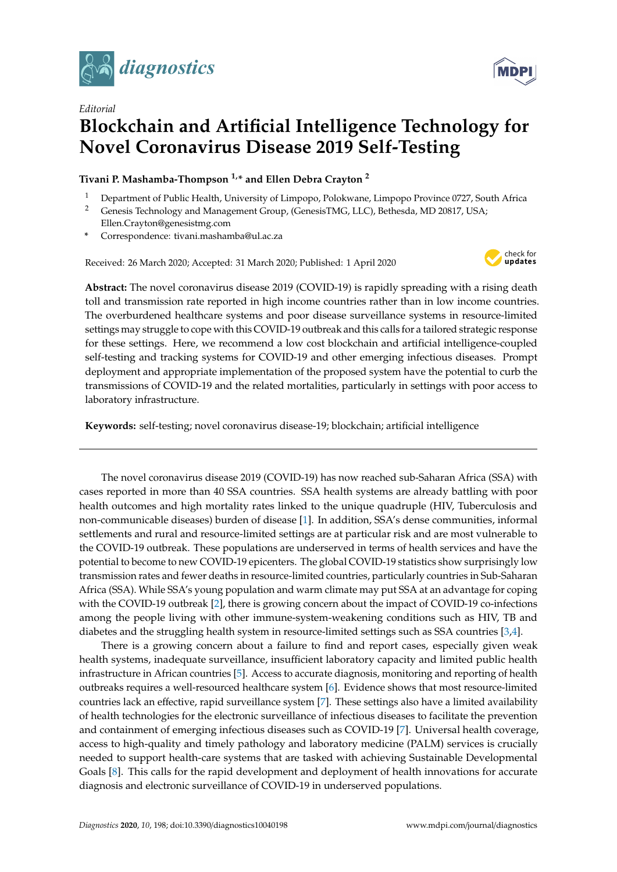

*Editorial*

## **Blockchain and Artificial Intelligence Technology for Novel Coronavirus Disease 2019 Self-Testing**

**Tivani P. Mashamba-Thompson 1,\* and Ellen Debra Crayton <sup>2</sup>**

- <sup>1</sup> Department of Public Health, University of Limpopo, Polokwane, Limpopo Province 0727, South Africa<br><sup>2</sup> Genesis Technology and Management Group (GenesisTMG, LLC) Bethesda, MD 20817, LSA
- <sup>2</sup> Genesis Technology and Management Group, (GenesisTMG, LLC), Bethesda, MD 20817, USA; Ellen.Crayton@genesistmg.com
- **\*** Correspondence: tivani.mashamba@ul.ac.za

Received: 26 March 2020; Accepted: 31 March 2020; Published: 1 April 2020



**Abstract:** The novel coronavirus disease 2019 (COVID-19) is rapidly spreading with a rising death toll and transmission rate reported in high income countries rather than in low income countries. The overburdened healthcare systems and poor disease surveillance systems in resource-limited settings may struggle to cope with this COVID-19 outbreak and this calls for a tailored strategic response for these settings. Here, we recommend a low cost blockchain and artificial intelligence-coupled self-testing and tracking systems for COVID-19 and other emerging infectious diseases. Prompt deployment and appropriate implementation of the proposed system have the potential to curb the transmissions of COVID-19 and the related mortalities, particularly in settings with poor access to laboratory infrastructure.

**Keywords:** self-testing; novel coronavirus disease-19; blockchain; artificial intelligence

The novel coronavirus disease 2019 (COVID-19) has now reached sub-Saharan Africa (SSA) with cases reported in more than 40 SSA countries. SSA health systems are already battling with poor health outcomes and high mortality rates linked to the unique quadruple (HIV, Tuberculosis and non-communicable diseases) burden of disease [\[1\]](#page-2-0). In addition, SSA's dense communities, informal settlements and rural and resource-limited settings are at particular risk and are most vulnerable to the COVID-19 outbreak. These populations are underserved in terms of health services and have the potential to become to new COVID-19 epicenters. The global COVID-19 statistics show surprisingly low transmission rates and fewer deaths in resource-limited countries, particularly countries in Sub-Saharan Africa (SSA). While SSA's young population and warm climate may put SSA at an advantage for coping with the COVID-19 outbreak [\[2\]](#page-2-1), there is growing concern about the impact of COVID-19 co-infections among the people living with other immune-system-weakening conditions such as HIV, TB and diabetes and the struggling health system in resource-limited settings such as SSA countries [\[3,](#page-2-2)[4\]](#page-2-3).

There is a growing concern about a failure to find and report cases, especially given weak health systems, inadequate surveillance, insufficient laboratory capacity and limited public health infrastructure in African countries [\[5\]](#page-2-4). Access to accurate diagnosis, monitoring and reporting of health outbreaks requires a well-resourced healthcare system [\[6\]](#page-2-5). Evidence shows that most resource-limited countries lack an effective, rapid surveillance system [\[7\]](#page-2-6). These settings also have a limited availability of health technologies for the electronic surveillance of infectious diseases to facilitate the prevention and containment of emerging infectious diseases such as COVID-19 [\[7\]](#page-2-6). Universal health coverage, access to high-quality and timely pathology and laboratory medicine (PALM) services is crucially needed to support health-care systems that are tasked with achieving Sustainable Developmental Goals [\[8\]](#page-2-7). This calls for the rapid development and deployment of health innovations for accurate diagnosis and electronic surveillance of COVID-19 in underserved populations.

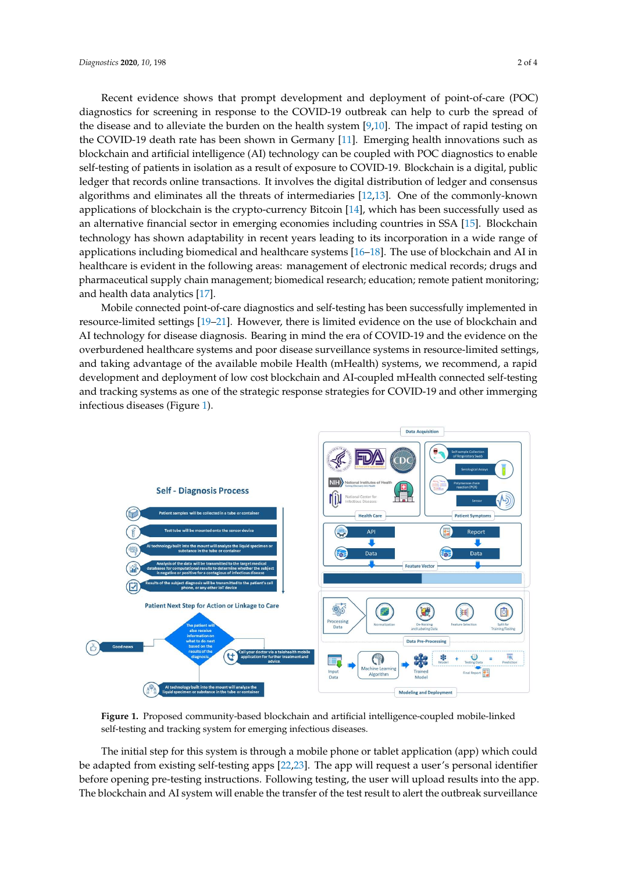Recent evidence shows that prompt development and deployment of point-of-care (POC) diagnostics for screening in response to the COVID-19 outbreak can help to curb the spread of the spread of the spread of the spread of the spread of the spread of the spread of the spread of the spread of the spread of th the disease and to alleviate the burden on the health system [\[9](#page-2-8)[,10\]](#page-2-9). The impact of rapid testing on the  $G/NP$  10 discussed the burden on the health system [9,10]. The impact of rapid testing on the COVID-19 death rate has been shown in Germany [\[11\]](#page-3-0). Emerging health innovations such as COVID-19 death rate has been shown in Germany [11]. Emerging health innovations such as blockchain and artificial intelligence (AI) technology can be coupled with POC diagnostics to enable blockchain and artificial intelligence (AI) technology can be coupled with POC diagnostics to enable self-testing of patients in isolation as a result of exposure to COVID-19. Blockchain is a digital, public self-testing of patients in isolation as a result of exposure to COVID-19. Blockchain is a digital, public ledger that records online transactions. It involves the digital distribution of ledger and consensus edger that records online transactions. It involves the digital distribution of ledger that consensus applications of blockchain is the crypto-currency Bitcoin [\[14\]](#page-3-3), which has been successfully used as approached of blockchain is the crypto-currency Bitcoin [14], which has been successionly used as an alternative financial sector in emerging economies including countries in SSA [\[15\]](#page-3-4). Blockchain technology has shown adaptability in recent years leading to its incorporation in a wide range of<br>the shown adaptability in recent years leading to its incorporation in a wide range of applications including biomedical and healthcare systems [\[16–](#page-3-5)[18\]](#page-3-6). The use of blockchain and AI in<br>blockchain and AI in the collection of the collection of the collection of the collection of the collection of healthcare is evident in the following areas: management of electronic medical records; drugs and healthcare is evident in the following areas: management of electronic medical records; drugs and pharmaceutical supply chain management; biomedical research; education; remote patient monitoring; pharmaceutical supply chain management; biomedical research; education; remote patient and health data analytics [\[17\]](#page-3-7). algorithms and eliminates all the threats of intermediates  $[12,13]$ . One of the commonly-known alternative financial sector in emerging economics including countries in SSA [15]. Blockhamin

ma nearly data analytics [17].<br>Mobile connected point-of-care diagnostics and self-testing has been successfully implemented in mobile connected point-of-care diagnostics and self-testing has been successfully implemented in<br>resource-limited settings [\[19–](#page-3-8)[21\]](#page-3-9). However, there is limited evidence on the use of blockchain and AI technology for disease diagnosis. Bearing in mind the era of COVID-19 and the evidence on the AI technology for disease diagnosis. Bearing in mind the era of COVID-19 and the evidence on the overburdened healthcare systems and poor disease surveillance systems in resource-limited settings, overburdened healthcare systems and poor disease surveillance systems in resource-limited settings, and taking advantage of the available mobile Health (mHealth) systems, we recommend, a rapid and taking advantage of the available mobile Health (mHealth) systems, we recommend, a rapid development and deployment of low cost blockchain and AI-coupled mHealth connected self-testing development and deployment of low cost blockchain and AI-coupled mHealth connected self-testing and tracking systems as one of the strategic response strategies for COVID-19 and other immerging in the strategies of the strategies for COVID-19 and other immerging infectious diseases (Figure [1\)](#page-1-0). infectious diseases (Figure 1). in resource-limited settings [19–21]. However, there is limited evidence on the use of blockchain and

<span id="page-1-0"></span>

Figure 1. Proposed community-based blockchain and artificial intelligence-coupled mobile-linked **Figure 1.** Proposed community-based blockchain and artificial intelligence-coupled mobile-linked self-testing and tracking system for emerging infectious diseases. self-testing and tracking system for emerging infectious diseases.

The initial step for this system is through a mobile phone or tablet application (app) which could be adapted from existing self-testing apps [\[22](#page-3-10)[,23\]](#page-3-11). The app will request a user's personal identifier be adapted from existing self-testing apps [22,23]. The app will request a user's personal identifier before opening pre-testing instructions. Following testing, the user will upload results into the app. before opening pre-testing instructions. Following testing, the user will upload results into the app. The blockchain and AI system will enable the transfer of the test result to alert the outbreak The blockchain and AI system will enable the transfer of the test result to alert the outbreak surveillanceThe initial step for this system is through a mobile phone or tablet application (app) which could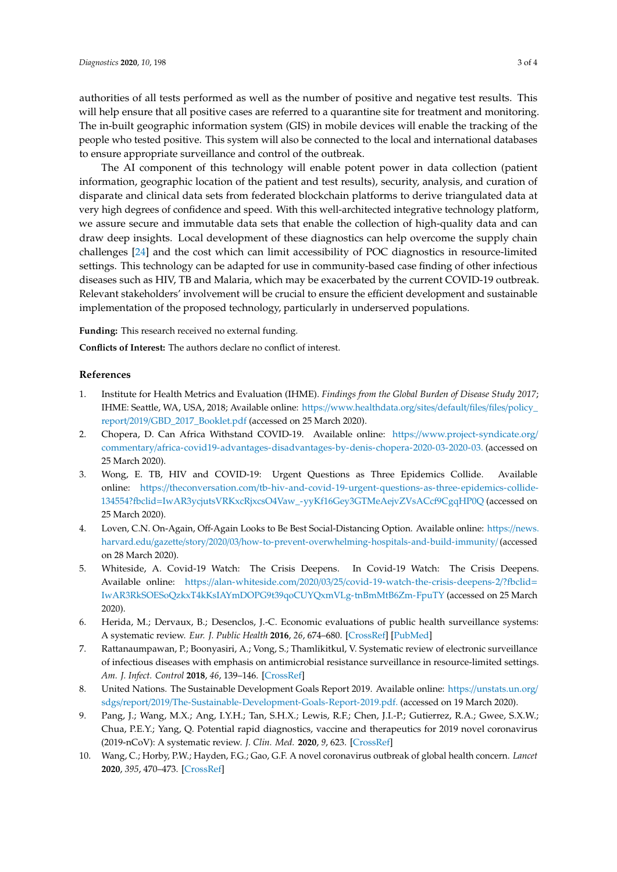authorities of all tests performed as well as the number of positive and negative test results. This will help ensure that all positive cases are referred to a quarantine site for treatment and monitoring. The in-built geographic information system (GIS) in mobile devices will enable the tracking of the people who tested positive. This system will also be connected to the local and international databases to ensure appropriate surveillance and control of the outbreak.

The AI component of this technology will enable potent power in data collection (patient information, geographic location of the patient and test results), security, analysis, and curation of disparate and clinical data sets from federated blockchain platforms to derive triangulated data at very high degrees of confidence and speed. With this well-architected integrative technology platform, we assure secure and immutable data sets that enable the collection of high-quality data and can draw deep insights. Local development of these diagnostics can help overcome the supply chain challenges [\[24\]](#page-3-12) and the cost which can limit accessibility of POC diagnostics in resource-limited settings. This technology can be adapted for use in community-based case finding of other infectious diseases such as HIV, TB and Malaria, which may be exacerbated by the current COVID-19 outbreak. Relevant stakeholders' involvement will be crucial to ensure the efficient development and sustainable implementation of the proposed technology, particularly in underserved populations.

**Funding:** This research received no external funding.

**Conflicts of Interest:** The authors declare no conflict of interest.

## **References**

- <span id="page-2-0"></span>1. Institute for Health Metrics and Evaluation (IHME). *Findings from the Global Burden of Disease Study 2017*; IHME: Seattle, WA, USA, 2018; Available online: https://[www.healthdata.org](https://www.healthdata.org/sites/default/files/files/policy_report/2019/GBD_2017_Booklet.pdf)/sites/default/files/files/policy\_ report/2019/[GBD\\_2017\\_Booklet.pdf](https://www.healthdata.org/sites/default/files/files/policy_report/2019/GBD_2017_Booklet.pdf) (accessed on 25 March 2020).
- <span id="page-2-1"></span>2. Chopera, D. Can Africa Withstand COVID-19. Available online: https://[www.project-syndicate.org](https://www.project-syndicate.org/commentary/africa-covid19-advantages-disadvantages-by-denis-chopera-2020-03-2020-03.)/ commentary/[africa-covid19-advantages-disadvantages-by-denis-chopera-2020-03-2020-03.](https://www.project-syndicate.org/commentary/africa-covid19-advantages-disadvantages-by-denis-chopera-2020-03-2020-03.) (accessed on 25 March 2020).
- <span id="page-2-2"></span>3. Wong, E. TB, HIV and COVID-19: Urgent Questions as Three Epidemics Collide. Available online: https://theconversation.com/[tb-hiv-and-covid-19-urgent-questions-as-three-epidemics-collide-](https://theconversation.com/tb-hiv-and-covid-19-urgent-questions-as-three-epidemics-collide-134554?fbclid=IwAR3ycjutsVRKxcRjxcsO4Vaw_-yyKf16Gey3GTMeAejvZVsACcf9CgqHP0Q)134554?fbclid=[IwAR3ycjutsVRKxcRjxcsO4Vaw\\_-yyKf16Gey3GTMeAejvZVsACcf9CgqHP0Q](https://theconversation.com/tb-hiv-and-covid-19-urgent-questions-as-three-epidemics-collide-134554?fbclid=IwAR3ycjutsVRKxcRjxcsO4Vaw_-yyKf16Gey3GTMeAejvZVsACcf9CgqHP0Q) (accessed on 25 March 2020).
- <span id="page-2-3"></span>4. Loven, C.N. On-Again, Off-Again Looks to Be Best Social-Distancing Option. Available online: https://[news.](https://news.harvard.edu/gazette/story/2020/03/how-to-prevent-overwhelming-hospitals-and-build-immunity/) harvard.edu/gazette/story/2020/03/[how-to-prevent-overwhelming-hospitals-and-build-immunity](https://news.harvard.edu/gazette/story/2020/03/how-to-prevent-overwhelming-hospitals-and-build-immunity/)/ (accessed on 28 March 2020).
- <span id="page-2-4"></span>5. Whiteside, A. Covid-19 Watch: The Crisis Deepens. In Covid-19 Watch: The Crisis Deepens. Available online: https://alan-whiteside.com/2020/03/25/[covid-19-watch-the-crisis-deepens-2](https://alan-whiteside.com/2020/03/25/covid-19-watch-the-crisis-deepens-2/?fbclid=IwAR3RkSOESoQzkxT4kKsIAYmDOPG9t39qoCUYQxmVLg-tnBmMtB6Zm-FpuTY)/?fbclid= [IwAR3RkSOESoQzkxT4kKsIAYmDOPG9t39qoCUYQxmVLg-tnBmMtB6Zm-FpuTY](https://alan-whiteside.com/2020/03/25/covid-19-watch-the-crisis-deepens-2/?fbclid=IwAR3RkSOESoQzkxT4kKsIAYmDOPG9t39qoCUYQxmVLg-tnBmMtB6Zm-FpuTY) (accessed on 25 March 2020).
- <span id="page-2-5"></span>6. Herida, M.; Dervaux, B.; Desenclos, J.-C. Economic evaluations of public health surveillance systems: A systematic review. *Eur. J. Public Health* **2016**, *26*, 674–680. [\[CrossRef\]](http://dx.doi.org/10.1093/eurpub/ckv250) [\[PubMed\]](http://www.ncbi.nlm.nih.gov/pubmed/26850905)
- <span id="page-2-6"></span>7. Rattanaumpawan, P.; Boonyasiri, A.; Vong, S.; Thamlikitkul, V. Systematic review of electronic surveillance of infectious diseases with emphasis on antimicrobial resistance surveillance in resource-limited settings. *Am. J. Infect. Control* **2018**, *46*, 139–146. [\[CrossRef\]](http://dx.doi.org/10.1016/j.ajic.2017.08.006)
- <span id="page-2-7"></span>8. United Nations. The Sustainable Development Goals Report 2019. Available online: https://[unstats.un.org](https://unstats.un.org/sdgs/report/2019/The-Sustainable-Development-Goals-Report-2019.pdf.)/ sdgs/report/2019/[The-Sustainable-Development-Goals-Report-2019.pdf.](https://unstats.un.org/sdgs/report/2019/The-Sustainable-Development-Goals-Report-2019.pdf.) (accessed on 19 March 2020).
- <span id="page-2-8"></span>9. Pang, J.; Wang, M.X.; Ang, I.Y.H.; Tan, S.H.X.; Lewis, R.F.; Chen, J.I.-P.; Gutierrez, R.A.; Gwee, S.X.W.; Chua, P.E.Y.; Yang, Q. Potential rapid diagnostics, vaccine and therapeutics for 2019 novel coronavirus (2019-nCoV): A systematic review. *J. Clin. Med.* **2020**, *9*, 623. [\[CrossRef\]](http://dx.doi.org/10.3390/jcm9030623)
- <span id="page-2-9"></span>10. Wang, C.; Horby, P.W.; Hayden, F.G.; Gao, G.F. A novel coronavirus outbreak of global health concern. *Lancet* **2020**, *395*, 470–473. [\[CrossRef\]](http://dx.doi.org/10.1016/S0140-6736(20)30185-9)